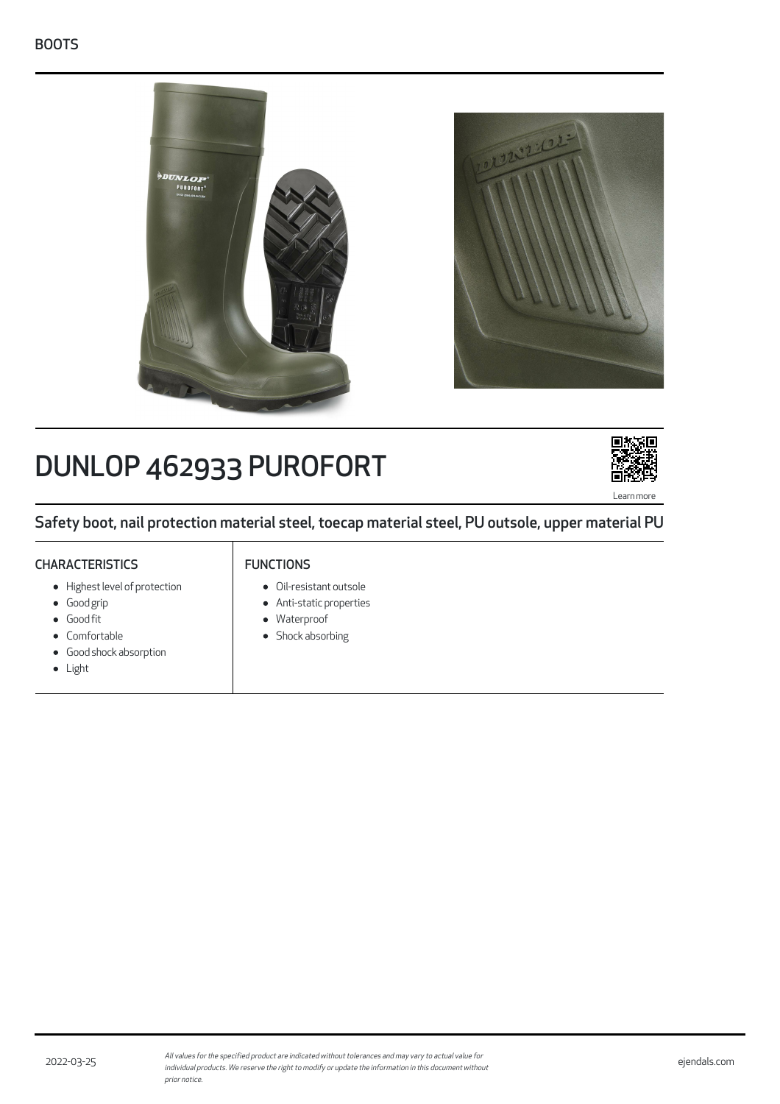

# DUNLOP 462933 PUROFORT



Safety boot, nail protection material steel, toecap material steel, PU outsole, upper material PU

# **CHARACTERISTICS**

# FUNCTIONS

- Highest level of protection
- Good grip
- Good fit
- Comfortable
- Good shock absorption  $\bullet$
- Light
- Oil-resistant outsole
- Anti-static properties
- Waterproof
- Shock absorbing